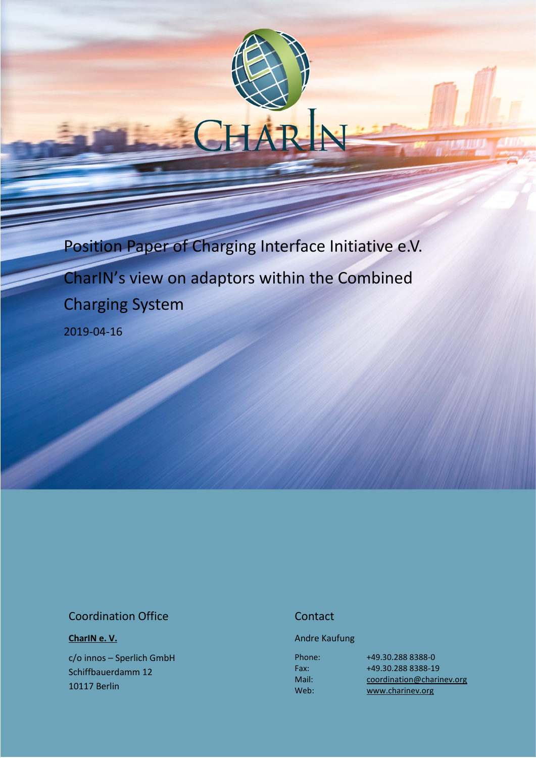

#### Coordination Office

**[CharIN e. V.](http://charinev.org/news/)**

c/o innos – Sperlich GmbH Schiffbauerdamm 12 10117 Berlin

#### **Contact**

Andre Kaufung

Phone: Fax: Mail: Web:

[+49.30.288](tel:+49%2030%20288) 8388-0 [+49.30.288](tel:+49%2030%20288) 8388-19 [coordination@charinev.org](mailto:andre.kaufung@charinev.org) [www.charinev.org](http://www.charinev.org/)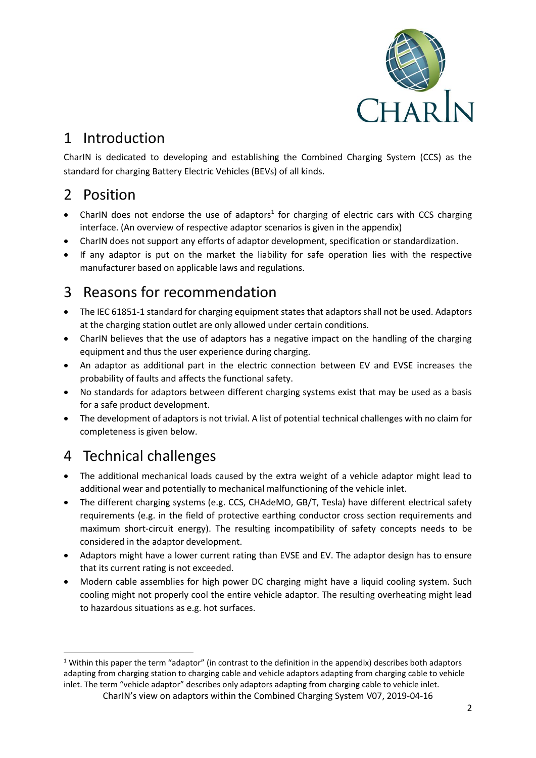

## 1 Introduction

CharIN is dedicated to developing and establishing the Combined Charging System (CCS) as the standard for charging Battery Electric Vehicles (BEVs) of all kinds.

## 2 Position

- CharIN does not endorse the use of adaptors<sup>1</sup> for charging of electric cars with CCS charging interface. (An overview of respective adaptor scenarios is given in the appendix)
- CharIN does not support any efforts of adaptor development, specification or standardization.
- If any adaptor is put on the market the liability for safe operation lies with the respective manufacturer based on applicable laws and regulations.

# 3 Reasons for recommendation

- The IEC 61851-1 standard for charging equipment states that adaptors shall not be used. Adaptors at the charging station outlet are only allowed under certain conditions.
- CharIN believes that the use of adaptors has a negative impact on the handling of the charging equipment and thus the user experience during charging.
- An adaptor as additional part in the electric connection between EV and EVSE increases the probability of faults and affects the functional safety.
- No standards for adaptors between different charging systems exist that may be used as a basis for a safe product development.
- The development of adaptors is not trivial. A list of potential technical challenges with no claim for completeness is given below.

### 4 Technical challenges

1

- The additional mechanical loads caused by the extra weight of a vehicle adaptor might lead to additional wear and potentially to mechanical malfunctioning of the vehicle inlet.
- The different charging systems (e.g. CCS, CHAdeMO, GB/T, Tesla) have different electrical safety requirements (e.g. in the field of protective earthing conductor cross section requirements and maximum short-circuit energy). The resulting incompatibility of safety concepts needs to be considered in the adaptor development.
- Adaptors might have a lower current rating than EVSE and EV. The adaptor design has to ensure that its current rating is not exceeded.
- Modern cable assemblies for high power DC charging might have a liquid cooling system. Such cooling might not properly cool the entire vehicle adaptor. The resulting overheating might lead to hazardous situations as e.g. hot surfaces.

<sup>&</sup>lt;sup>1</sup> Within this paper the term "adaptor" (in contrast to the definition in the appendix) describes both adaptors adapting from charging station to charging cable and vehicle adaptors adapting from charging cable to vehicle inlet. The term "vehicle adaptor" describes only adaptors adapting from charging cable to vehicle inlet.

CharIN's view on adaptors within the Combined Charging System V07, 2019-04-16